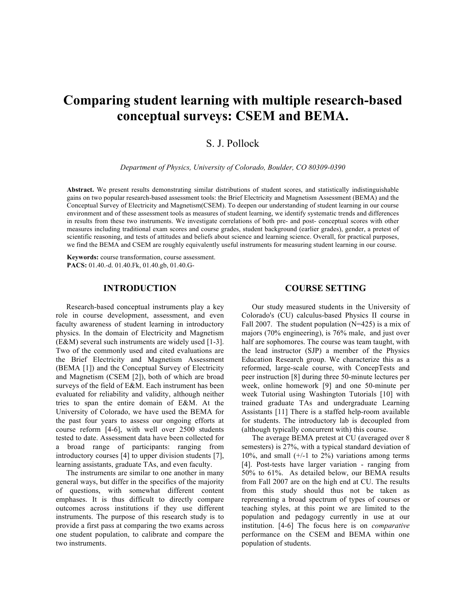# **Comparing student learning with multiple research-based conceptual surveys: CSEM and BEMA.**

## S. J. Pollock

*Department of Physics, University of Colorado, Boulder, CO 80309-0390*

**Abstract.** We present results demonstrating similar distributions of student scores, and statistically indistinguishable gains on two popular research-based assessment tools: the Brief Electricity and Magnetism Assessment (BEMA) and the Conceptual Survey of Electricity and Magnetism(CSEM). To deepen our understanding of student learning in our course environment and of these assessment tools as measures of student learning, we identify systematic trends and differences in results from these two instruments. We investigate correlations of both pre- and post- conceptual scores with other measures including traditional exam scores and course grades, student background (earlier grades), gender, a pretest of scientific reasoning, and tests of attitudes and beliefs about science and learning science. Overall, for practical purposes, we find the BEMA and CSEM are roughly equivalently useful instruments for measuring student learning in our course.

**Keywords:** course transformation, course assessment. **PACS:** 01.40.-d. 01.40.Fk, 01.40.gb, 01.40.G-

## **INTRODUCTION**

Research-based conceptual instruments play a key role in course development, assessment, and even faculty awareness of student learning in introductory physics. In the domain of Electricity and Magnetism (E&M) several such instruments are widely used [1-3]. Two of the commonly used and cited evaluations are the Brief Electricity and Magnetism Assessment (BEMA [1]) and the Conceptual Survey of Electricity and Magnetism (CSEM [2]), both of which are broad surveys of the field of E&M. Each instrument has been evaluated for reliability and validity, although neither tries to span the entire domain of E&M. At the University of Colorado, we have used the BEMA for the past four years to assess our ongoing efforts at course reform [4-6], with well over 2500 students tested to date. Assessment data have been collected for a broad range of participants: ranging from introductory courses [4] to upper division students [7], learning assistants, graduate TAs, and even faculty.

The instruments are similar to one another in many general ways, but differ in the specifics of the majority of questions, with somewhat different content emphases. It is thus difficult to directly compare outcomes across institutions if they use different instruments. The purpose of this research study is to provide a first pass at comparing the two exams across one student population, to calibrate and compare the two instruments.

## **COURSE SETTING**

Our study measured students in the University of Colorado's (CU) calculus-based Physics II course in Fall 2007. The student population (N=425) is a mix of majors (70% engineering), is 76% male, and just over half are sophomores. The course was team taught, with the lead instructor (SJP) a member of the Physics Education Research group. We characterize this as a reformed, large-scale course, with ConcepTests and peer instruction [8] during three 50-minute lectures per week, online homework [9] and one 50-minute per week Tutorial using Washington Tutorials [10] with trained graduate TAs and undergraduate Learning Assistants [11] There is a staffed help-room available for students. The introductory lab is decoupled from (although typically concurrent with) this course.

The average BEMA pretest at CU (averaged over 8 semesters) is 27%, with a typical standard deviation of 10%, and small  $(+/-1)$  to 2%) variations among terms [4]. Post-tests have larger variation - ranging from 50% to 61%. As detailed below, our BEMA results from Fall 2007 are on the high end at CU. The results from this study should thus not be taken as representing a broad spectrum of types of courses or teaching styles, at this point we are limited to the population and pedagogy currently in use at our institution. [4-6] The focus here is on *comparative* performance on the CSEM and BEMA within one population of students.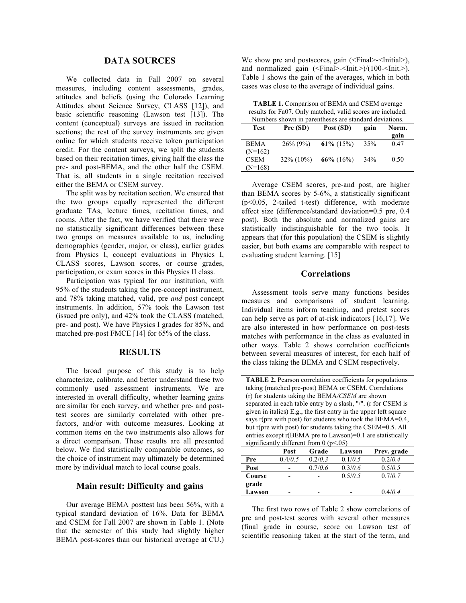#### **DATA SOURCES**

We collected data in Fall 2007 on several measures, including content assessments, grades, attitudes and beliefs (using the Colorado Learning Attitudes about Science Survey, CLASS [12]), and basic scientific reasoning (Lawson test [13]). The content (conceptual) surveys are issued in recitation sections; the rest of the survey instruments are given online for which students receive token participation credit. For the content surveys, we split the students based on their recitation times, giving half the class the pre- and post-BEMA, and the other half the CSEM. That is, all students in a single recitation received either the BEMA or CSEM survey.

The split was by recitation section. We ensured that the two groups equally represented the different graduate TAs, lecture times, recitation times, and rooms. After the fact, we have verified that there were no statistically significant differences between these two groups on measures available to us, including demographics (gender, major, or class), earlier grades from Physics I, concept evaluations in Physics I, CLASS scores, Lawson scores, or course grades, participation, or exam scores in this Physics II class.

Participation was typical for our institution, with 95% of the students taking the pre-concept instrument, and 78% taking matched, valid, pre *and* post concept instruments. In addition, 57% took the Lawson test (issued pre only), and 42% took the CLASS (matched, pre- and post). We have Physics I grades for 85%, and matched pre-post FMCE [14] for 65% of the class.

### **RESULTS**

The broad purpose of this study is to help characterize, calibrate, and better understand these two commonly used assessment instruments. We are interested in overall difficulty, whether learning gains are similar for each survey, and whether pre- and posttest scores are similarly correlated with other prefactors, and/or with outcome measures. Looking at common items on the two instruments also allows for a direct comparison. These results are all presented below. We find statistically comparable outcomes, so the choice of instrument may ultimately be determined more by individual match to local course goals.

#### **Main result: Difficulty and gains**

Our average BEMA posttest has been 56%, with a typical standard deviation of 16%. Data for BEMA and CSEM for Fall 2007 are shown in Table 1. (Note that the semester of this study had slightly higher BEMA post-scores than our historical average at CU.) We show pre and postscores, gain (<Final>-<Initial>), and normalized gain (<Final>-<Init.>)/(100-<Init.>). Table 1 shows the gain of the averages, which in both cases was close to the average of individual gains.

| <b>TABLE 1.</b> Comparison of BEMA and CSEM average        |               |               |      |       |  |  |
|------------------------------------------------------------|---------------|---------------|------|-------|--|--|
| results for Fa07. Only matched, valid scores are included. |               |               |      |       |  |  |
| Numbers shown in parentheses are standard deviations.      |               |               |      |       |  |  |
| <b>Test</b>                                                | Pre (SD)      | Post (SD)     | gain | Norm. |  |  |
|                                                            |               |               |      | gain  |  |  |
| <b>BEMA</b>                                                | $26\%$ (9%)   | 61\% $(15\%)$ | 35%  | 0.47  |  |  |
| $(N=162)$                                                  |               |               |      |       |  |  |
| <b>CSEM</b>                                                | $32\% (10\%)$ | $66\%$ (16%)  | 34%  | 0.50  |  |  |
| $(N=168)$                                                  |               |               |      |       |  |  |

Average CSEM scores, pre-and post, are higher than BEMA scores by 5-6%, a statistically significant (p<0.05, 2-tailed t-test) difference, with moderate effect size (difference/standard deviation=0.5 pre, 0.4 post). Both the absolute and normalized gains are statistically indistinguishable for the two tools. It appears that (for this population) the CSEM is slightly easier, but both exams are comparable with respect to evaluating student learning. [15]

#### **Correlations**

Assessment tools serve many functions besides measures and comparisons of student learning. Individual items inform teaching, and pretest scores can help serve as part of at-risk indicators [16,17]. We are also interested in how performance on post-tests matches with performance in the class as evaluated in other ways. Table 2 shows correlation coefficients between several measures of interest, for each half of the class taking the BEMA and CSEM respectively.

**TABLE 2.** Pearson correlation coefficients for populations taking (matched pre-post) BEMA or CSEM. Correlations (r) for students taking the BEMA*/CSEM* are shown separated in each table entry by a slash, "/". (r for CSEM is given in italics) E.g., the first entry in the upper left square says r(pre with post) for students who took the BEMA=0.4, but r(pre with post) for students taking the CSEM=0.5. All entries except r(BEMA pre to Lawson)=0.1 are statistically significantly different from 0 (p<.05)

|        | Post    | Grade   | Lawson  | Prev. grade |
|--------|---------|---------|---------|-------------|
| Pre    | 0.4/0.5 | 0.2/0.3 | 0.1/0.5 | 0.2/0.4     |
| Post   |         | 0.7/0.6 | 0.3/0.6 | 0.5/0.5     |
| Course |         |         | 0.5/0.5 | 0.7/0.7     |
| grade  |         |         |         |             |
| Lawson |         |         |         | 0.4/0.4     |

The first two rows of Table 2 show correlations of pre and post-test scores with several other measures (final grade in course, score on Lawson test of scientific reasoning taken at the start of the term, and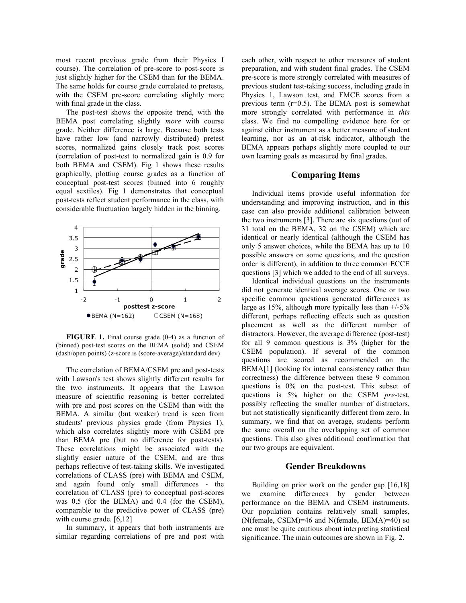most recent previous grade from their Physics I course). The correlation of pre-score to post-score is just slightly higher for the CSEM than for the BEMA. The same holds for course grade correlated to pretests, with the CSEM pre-score correlating slightly more with final grade in the class.

The post-test shows the opposite trend, with the BEMA post correlating slightly *more* with course grade. Neither difference is large. Because both tests have rather low (and narrowly distributed) pretest scores, normalized gains closely track post scores (correlation of post-test to normalized gain is 0.9 for both BEMA and CSEM). Fig 1 shows these results graphically, plotting course grades as a function of conceptual post-test scores (binned into 6 roughly equal sextiles). Fig 1 demonstrates that conceptual post-tests reflect student performance in the class, with considerable fluctuation largely hidden in the binning.



**FIGURE 1.** Final course grade (0-4) as a function of (binned) post-test scores on the BEMA (solid) and CSEM (dash/open points) (z-score is (score-average)/standard dev)

The correlation of BEMA/CSEM pre and post-tests with Lawson's test shows slightly different results for the two instruments. It appears that the Lawson measure of scientific reasoning is better correlated with pre and post scores on the CSEM than with the BEMA. A similar (but weaker) trend is seen from students' previous physics grade (from Physics 1), which also correlates slightly more with CSEM pre than BEMA pre (but no difference for post-tests). These correlations might be associated with the slightly easier nature of the CSEM, and are thus perhaps reflective of test-taking skills. We investigated correlations of CLASS (pre) with BEMA and CSEM, and again found only small differences - the correlation of CLASS (pre) to conceptual post-scores was 0.5 (for the BEMA) and 0.4 (for the CSEM), comparable to the predictive power of CLASS (pre) with course grade. [6,12]

In summary, it appears that both instruments are similar regarding correlations of pre and post with

each other, with respect to other measures of student preparation, and with student final grades. The CSEM pre-score is more strongly correlated with measures of previous student test-taking success, including grade in Physics 1, Lawson test, and FMCE scores from a previous term  $(r=0.5)$ . The BEMA post is somewhat more strongly correlated with performance in *this* class. We find no compelling evidence here for or against either instrument as a better measure of student learning, nor as an at-risk indicator, although the BEMA appears perhaps slightly more coupled to our own learning goals as measured by final grades.

## **Comparing Items**

Individual items provide useful information for understanding and improving instruction, and in this case can also provide additional calibration between the two instruments [3]. There are six questions (out of 31 total on the BEMA, 32 on the CSEM) which are identical or nearly identical (although the CSEM has only 5 answer choices, while the BEMA has up to 10 possible answers on some questions, and the question order is different), in addition to three common ECCE questions [3] which we added to the end of all surveys.

Identical individual questions on the instruments did not generate identical average scores. One or two specific common questions generated differences as large as  $15\%$ , although more typically less than  $+/-5\%$ different, perhaps reflecting effects such as question placement as well as the different number of distractors. However, the average difference (post-test) for all 9 common questions is 3% (higher for the CSEM population). If several of the common questions are scored as recommended on the BEMA[1] (looking for internal consistency rather than correctness) the difference between these 9 common questions is 0% on the post-test. This subset of questions is 5% higher on the CSEM *pre-*test, possibly reflecting the smaller number of distractors, but not statistically significantly different from zero. In summary, we find that on average, students perform the same overall on the overlapping set of common questions. This also gives additional confirmation that our two groups are equivalent.

#### **Gender Breakdowns**

Building on prior work on the gender gap [16,18] we examine differences by gender between performance on the BEMA and CSEM instruments. Our population contains relatively small samples, (N(female, CSEM)=46 and N(female, BEMA)=40) so one must be quite cautious about interpreting statistical significance. The main outcomes are shown in Fig. 2.